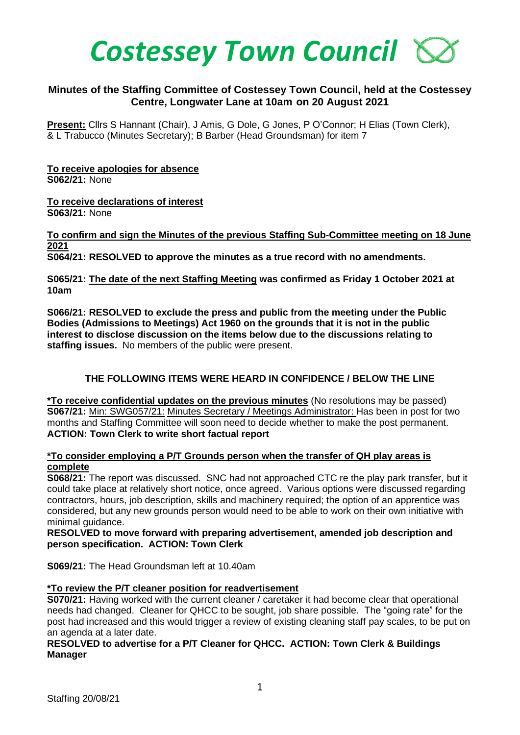

## **Minutes of the Staffing Committee of Costessey Town Council, held at the Costessey Centre, Longwater Lane at 10am on 20 August 2021**

**Present:** Cllrs S Hannant (Chair), J Amis, G Dole, G Jones, P O'Connor; H Elias (Town Clerk), & L Trabucco (Minutes Secretary); B Barber (Head Groundsman) for item 7

**To receive apologies for absence S062/21:** None

**To receive declarations of interest S063/21:** None

**To confirm and sign the Minutes of the previous Staffing Sub-Committee meeting on 18 June 2021 S064/21: RESOLVED to approve the minutes as a true record with no amendments.**

**S065/21: The date of the next Staffing Meeting was confirmed as Friday 1 October 2021 at 10am** 

**S066/21: RESOLVED to exclude the press and public from the meeting under the Public Bodies (Admissions to Meetings) Act 1960 on the grounds that it is not in the public interest to disclose discussion on the items below due to the discussions relating to staffing issues.** No members of the public were present.

## **THE FOLLOWING ITEMS WERE HEARD IN CONFIDENCE / BELOW THE LINE**

**\*To receive confidential updates on the previous minutes** (No resolutions may be passed) **S067/21:** Min: SWG057/21: Minutes Secretary / Meetings Administrator: Has been in post for two months and Staffing Committee will soon need to decide whether to make the post permanent. **ACTION: Town Clerk to write short factual report**

#### **\*To consider employing a P/T Grounds person when the transfer of QH play areas is complete**

**S068/21:** The report was discussed. SNC had not approached CTC re the play park transfer, but it could take place at relatively short notice, once agreed. Various options were discussed regarding contractors, hours, job description, skills and machinery required; the option of an apprentice was considered, but any new grounds person would need to be able to work on their own initiative with minimal guidance.

**RESOLVED to move forward with preparing advertisement, amended job description and person specification. ACTION: Town Clerk** 

**S069/21:** The Head Groundsman left at 10.40am

#### **\*To review the P/T cleaner position for readvertisement**

**S070/21:** Having worked with the current cleaner / caretaker it had become clear that operational needs had changed. Cleaner for QHCC to be sought, job share possible. The "going rate" for the post had increased and this would trigger a review of existing cleaning staff pay scales, to be put on an agenda at a later date.

#### **RESOLVED to advertise for a P/T Cleaner for QHCC. ACTION: Town Clerk & Buildings Manager**